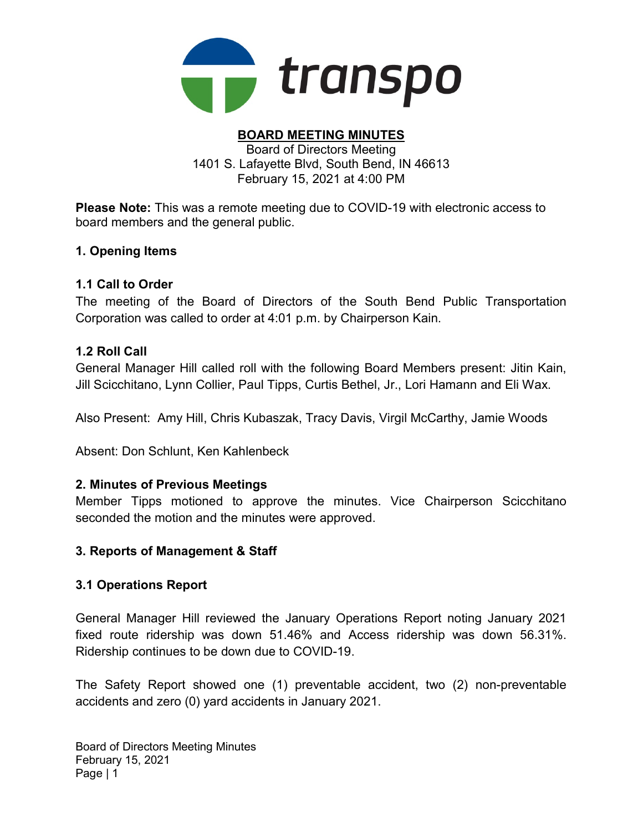

#### BOARD MEETING MINUTES Board of Directors Meeting

1401 S. Lafayette Blvd, South Bend, IN 46613 February 15, 2021 at 4:00 PM

Please Note: This was a remote meeting due to COVID-19 with electronic access to board members and the general public.

### 1. Opening Items

### 1.1 Call to Order

The meeting of the Board of Directors of the South Bend Public Transportation Corporation was called to order at 4:01 p.m. by Chairperson Kain.

### 1.2 Roll Call

General Manager Hill called roll with the following Board Members present: Jitin Kain, Jill Scicchitano, Lynn Collier, Paul Tipps, Curtis Bethel, Jr., Lori Hamann and Eli Wax.

Also Present: Amy Hill, Chris Kubaszak, Tracy Davis, Virgil McCarthy, Jamie Woods

Absent: Don Schlunt, Ken Kahlenbeck

#### 2. Minutes of Previous Meetings

Member Tipps motioned to approve the minutes. Vice Chairperson Scicchitano seconded the motion and the minutes were approved.

#### 3. Reports of Management & Staff

#### 3.1 Operations Report

General Manager Hill reviewed the January Operations Report noting January 2021 fixed route ridership was down 51.46% and Access ridership was down 56.31%. Ridership continues to be down due to COVID-19.

The Safety Report showed one (1) preventable accident, two (2) non-preventable accidents and zero (0) yard accidents in January 2021.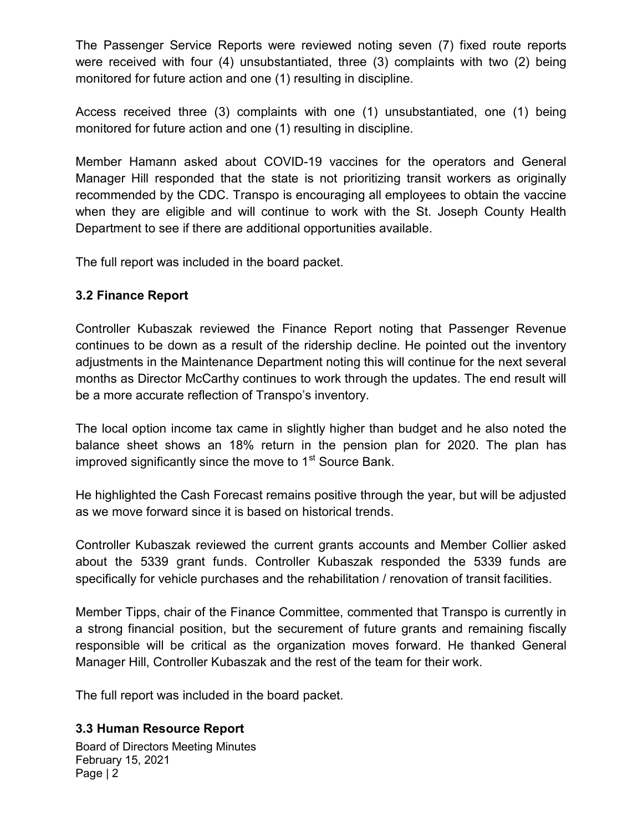The Passenger Service Reports were reviewed noting seven (7) fixed route reports were received with four (4) unsubstantiated, three (3) complaints with two (2) being monitored for future action and one (1) resulting in discipline.

Access received three (3) complaints with one (1) unsubstantiated, one (1) being monitored for future action and one (1) resulting in discipline.

Member Hamann asked about COVID-19 vaccines for the operators and General Manager Hill responded that the state is not prioritizing transit workers as originally recommended by the CDC. Transpo is encouraging all employees to obtain the vaccine when they are eligible and will continue to work with the St. Joseph County Health Department to see if there are additional opportunities available.

The full report was included in the board packet.

## 3.2 Finance Report

Controller Kubaszak reviewed the Finance Report noting that Passenger Revenue continues to be down as a result of the ridership decline. He pointed out the inventory adjustments in the Maintenance Department noting this will continue for the next several months as Director McCarthy continues to work through the updates. The end result will be a more accurate reflection of Transpo's inventory.

The local option income tax came in slightly higher than budget and he also noted the balance sheet shows an 18% return in the pension plan for 2020. The plan has improved significantly since the move to  $1<sup>st</sup>$  Source Bank.

He highlighted the Cash Forecast remains positive through the year, but will be adjusted as we move forward since it is based on historical trends.

Controller Kubaszak reviewed the current grants accounts and Member Collier asked about the 5339 grant funds. Controller Kubaszak responded the 5339 funds are specifically for vehicle purchases and the rehabilitation / renovation of transit facilities.

Member Tipps, chair of the Finance Committee, commented that Transpo is currently in a strong financial position, but the securement of future grants and remaining fiscally responsible will be critical as the organization moves forward. He thanked General Manager Hill, Controller Kubaszak and the rest of the team for their work.

The full report was included in the board packet.

## 3.3 Human Resource Report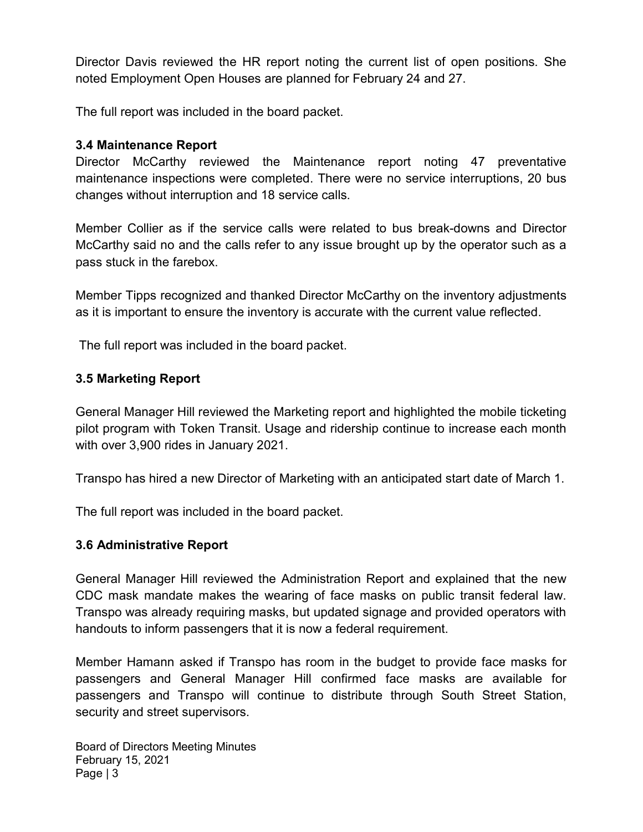Director Davis reviewed the HR report noting the current list of open positions. She noted Employment Open Houses are planned for February 24 and 27.

The full report was included in the board packet.

### 3.4 Maintenance Report

Director McCarthy reviewed the Maintenance report noting 47 preventative maintenance inspections were completed. There were no service interruptions, 20 bus changes without interruption and 18 service calls.

Member Collier as if the service calls were related to bus break-downs and Director McCarthy said no and the calls refer to any issue brought up by the operator such as a pass stuck in the farebox.

Member Tipps recognized and thanked Director McCarthy on the inventory adjustments as it is important to ensure the inventory is accurate with the current value reflected.

The full report was included in the board packet.

## 3.5 Marketing Report

General Manager Hill reviewed the Marketing report and highlighted the mobile ticketing pilot program with Token Transit. Usage and ridership continue to increase each month with over 3,900 rides in January 2021.

Transpo has hired a new Director of Marketing with an anticipated start date of March 1.

The full report was included in the board packet.

#### 3.6 Administrative Report

General Manager Hill reviewed the Administration Report and explained that the new CDC mask mandate makes the wearing of face masks on public transit federal law. Transpo was already requiring masks, but updated signage and provided operators with handouts to inform passengers that it is now a federal requirement.

Member Hamann asked if Transpo has room in the budget to provide face masks for passengers and General Manager Hill confirmed face masks are available for passengers and Transpo will continue to distribute through South Street Station, security and street supervisors.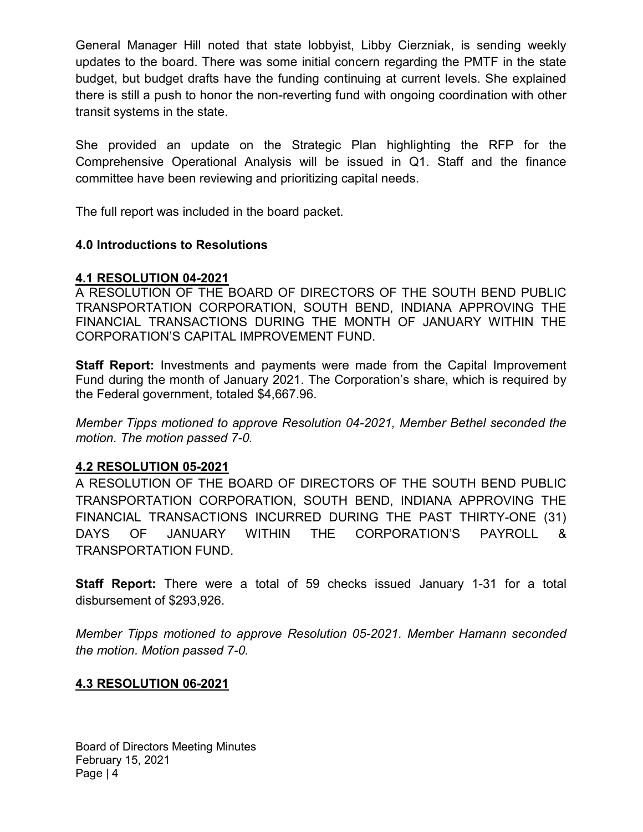General Manager Hill noted that state lobbyist, Libby Cierzniak, is sending weekly updates to the board. There was some initial concern regarding the PMTF in the state budget, but budget drafts have the funding continuing at current levels. She explained there is still a push to honor the non-reverting fund with ongoing coordination with other transit systems in the state.

She provided an update on the Strategic Plan highlighting the RFP for the Comprehensive Operational Analysis will be issued in Q1. Staff and the finance committee have been reviewing and prioritizing capital needs.

The full report was included in the board packet.

## 4.0 Introductions to Resolutions

## 4.1 RESOLUTION 04-2021

A RESOLUTION OF THE BOARD OF DIRECTORS OF THE SOUTH BEND PUBLIC TRANSPORTATION CORPORATION, SOUTH BEND, INDIANA APPROVING THE FINANCIAL TRANSACTIONS DURING THE MONTH OF JANUARY WITHIN THE CORPORATION'S CAPITAL IMPROVEMENT FUND.

**Staff Report:** Investments and payments were made from the Capital Improvement Fund during the month of January 2021. The Corporation's share, which is required by the Federal government, totaled \$4,667.96.

Member Tipps motioned to approve Resolution 04-2021, Member Bethel seconded the motion. The motion passed 7-0.

## 4.2 RESOLUTION 05-2021

A RESOLUTION OF THE BOARD OF DIRECTORS OF THE SOUTH BEND PUBLIC TRANSPORTATION CORPORATION, SOUTH BEND, INDIANA APPROVING THE FINANCIAL TRANSACTIONS INCURRED DURING THE PAST THIRTY-ONE (31) DAYS OF JANUARY WITHIN THE CORPORATION'S PAYROLL & TRANSPORTATION FUND.

Staff Report: There were a total of 59 checks issued January 1-31 for a total disbursement of \$293,926.

Member Tipps motioned to approve Resolution 05-2021. Member Hamann seconded the motion. Motion passed 7-0.

## 4.3 RESOLUTION 06-2021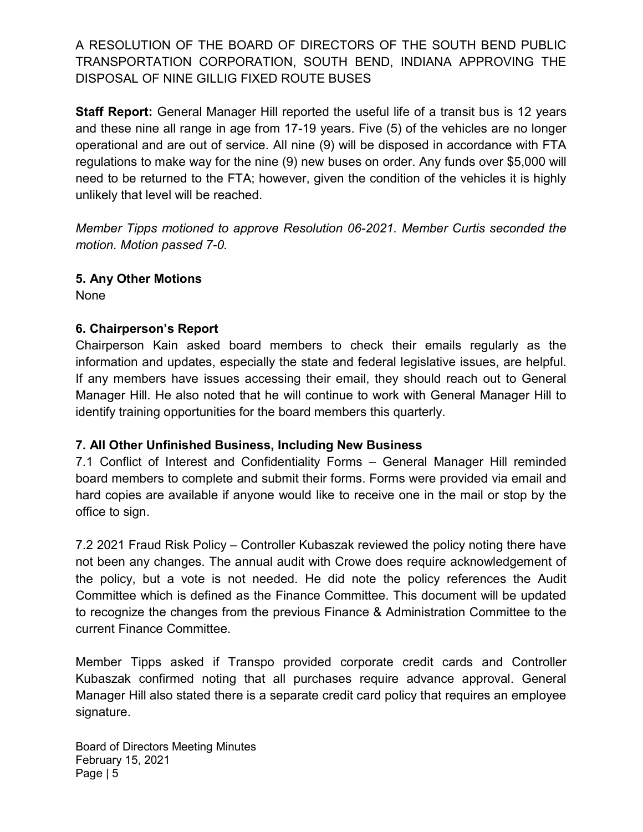A RESOLUTION OF THE BOARD OF DIRECTORS OF THE SOUTH BEND PUBLIC TRANSPORTATION CORPORATION, SOUTH BEND, INDIANA APPROVING THE DISPOSAL OF NINE GILLIG FIXED ROUTE BUSES

Staff Report: General Manager Hill reported the useful life of a transit bus is 12 years and these nine all range in age from 17-19 years. Five (5) of the vehicles are no longer operational and are out of service. All nine (9) will be disposed in accordance with FTA regulations to make way for the nine (9) new buses on order. Any funds over \$5,000 will need to be returned to the FTA; however, given the condition of the vehicles it is highly unlikely that level will be reached.

Member Tipps motioned to approve Resolution 06-2021. Member Curtis seconded the motion. Motion passed 7-0.

## 5. Any Other Motions

None

## 6. Chairperson's Report

Chairperson Kain asked board members to check their emails regularly as the information and updates, especially the state and federal legislative issues, are helpful. If any members have issues accessing their email, they should reach out to General Manager Hill. He also noted that he will continue to work with General Manager Hill to identify training opportunities for the board members this quarterly.

## 7. All Other Unfinished Business, Including New Business

7.1 Conflict of Interest and Confidentiality Forms – General Manager Hill reminded board members to complete and submit their forms. Forms were provided via email and hard copies are available if anyone would like to receive one in the mail or stop by the office to sign.

7.2 2021 Fraud Risk Policy – Controller Kubaszak reviewed the policy noting there have not been any changes. The annual audit with Crowe does require acknowledgement of the policy, but a vote is not needed. He did note the policy references the Audit Committee which is defined as the Finance Committee. This document will be updated to recognize the changes from the previous Finance & Administration Committee to the current Finance Committee.

Member Tipps asked if Transpo provided corporate credit cards and Controller Kubaszak confirmed noting that all purchases require advance approval. General Manager Hill also stated there is a separate credit card policy that requires an employee signature.